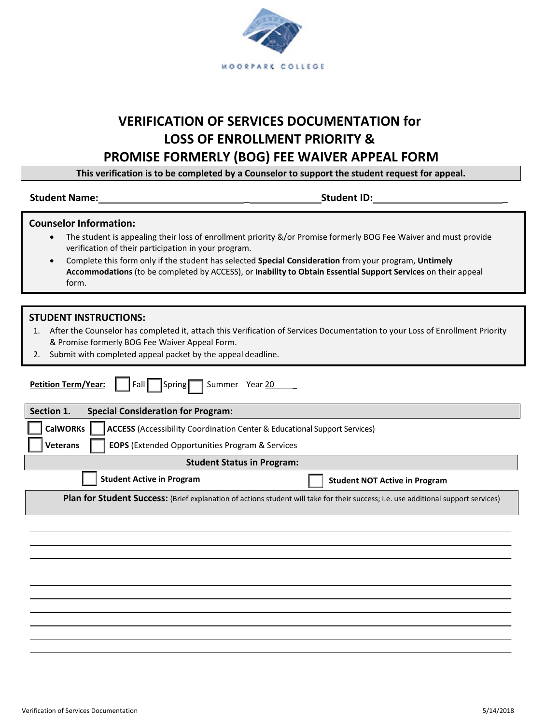

# **VERIFICATION OF SERVICES DOCUMENTATION for LOSS OF ENROLLMENT PRIORITY &**

# **PROMISE FORMERLY (BOG) FEE WAIVER APPEAL FORM**

**This verification is to be completed by a Counselor to support the student request for appeal.**

#### **Student Name:** \_ **Student ID:** \_

| <b>Counselor Information:</b> |  |  |  |  |  |
|-------------------------------|--|--|--|--|--|
|-------------------------------|--|--|--|--|--|

- The student is appealing their loss of enrollment priority &/or Promise formerly BOG Fee Waiver and must provide verification of their participation in your program.
- Complete this form only if the student has selected **Special Consideration** from your program, **Untimely Accommodations** (to be completed by ACCESS), or **Inability to Obtain Essential Support Services** on their appeal form.

### **STUDENT INSTRUCTIONS:**

- 1. After the Counselor has completed it, attach this Verification of Services Documentation to your Loss of Enrollment Priority & Promise formerly BOG Fee Waiver Appeal Form.
- 2. Submit with completed appeal packet by the appeal deadline.

| <b>Petition Term/Year:</b><br>Summer Year 20<br>$\sqrt{\sqrt{25}}$<br>Fall                                                         |  |  |  |  |
|------------------------------------------------------------------------------------------------------------------------------------|--|--|--|--|
| Section 1.<br><b>Special Consideration for Program:</b>                                                                            |  |  |  |  |
| <b>CalWORKs</b><br><b>ACCESS</b> (Accessibility Coordination Center & Educational Support Services)                                |  |  |  |  |
| <b>EOPS</b> (Extended Opportunities Program & Services<br><b>Veterans</b>                                                          |  |  |  |  |
| <b>Student Status in Program:</b>                                                                                                  |  |  |  |  |
| <b>Student Active in Program</b><br><b>Student NOT Active in Program</b>                                                           |  |  |  |  |
| Plan for Student Success: (Brief explanation of actions student will take for their success; i.e. use additional support services) |  |  |  |  |
|                                                                                                                                    |  |  |  |  |
|                                                                                                                                    |  |  |  |  |
|                                                                                                                                    |  |  |  |  |
|                                                                                                                                    |  |  |  |  |
|                                                                                                                                    |  |  |  |  |
|                                                                                                                                    |  |  |  |  |
|                                                                                                                                    |  |  |  |  |